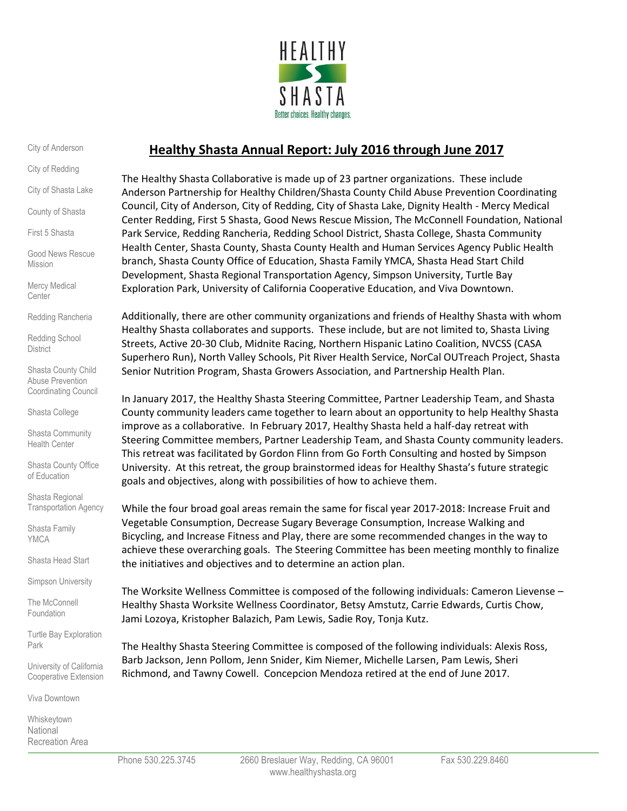

City of Anderson

City of Redding

City of Shasta Lake

County of Shasta

First 5 Shasta

Good News Rescue Mission

Mercy Medical **Center** 

Redding Rancheria

Redding School **District** 

Shasta County Child Abuse Prevention Coordinating Council

Shasta College

Shasta Community Health Center

Shasta County Office of Education

Shasta Regional Transportation Agency

Shasta Family YMCA

Shasta Head Start

Simpson University

The McConnell Foundation

Turtle Bay Exploration Park

University of California Cooperative Extension

Viva Downtown

Whiskeytown National Recreation Area

# **Healthy Shasta Annual Report: July 2016 through June 2017**

The Healthy Shasta Collaborative is made up of 23 partner organizations. These include Anderson Partnership for Healthy Children/Shasta County Child Abuse Prevention Coordinating Council, City of Anderson, City of Redding, City of Shasta Lake, Dignity Health - Mercy Medical Center Redding, First 5 Shasta, Good News Rescue Mission, The McConnell Foundation, National Park Service, Redding Rancheria, Redding School District, Shasta College, Shasta Community Health Center, Shasta County, Shasta County Health and Human Services Agency Public Health branch, Shasta County Office of Education, Shasta Family YMCA, Shasta Head Start Child Development, Shasta Regional Transportation Agency, Simpson University, Turtle Bay Exploration Park, University of California Cooperative Education, and Viva Downtown.

Additionally, there are other community organizations and friends of Healthy Shasta with whom Healthy Shasta collaborates and supports. These include, but are not limited to, Shasta Living Streets, Active 20-30 Club, Midnite Racing, Northern Hispanic Latino Coalition, NVCSS (CASA Superhero Run), North Valley Schools, Pit River Health Service, NorCal OUTreach Project, Shasta Senior Nutrition Program, Shasta Growers Association, and Partnership Health Plan.

In January 2017, the Healthy Shasta Steering Committee, Partner Leadership Team, and Shasta County community leaders came together to learn about an opportunity to help Healthy Shasta improve as a collaborative. In February 2017, Healthy Shasta held a half-day retreat with Steering Committee members, Partner Leadership Team, and Shasta County community leaders. This retreat was facilitated by Gordon Flinn from Go Forth Consulting and hosted by Simpson University. At this retreat, the group brainstormed ideas for Healthy Shasta's future strategic goals and objectives, along with possibilities of how to achieve them.

While the four broad goal areas remain the same for fiscal year 2017-2018: Increase Fruit and Vegetable Consumption, Decrease Sugary Beverage Consumption, Increase Walking and Bicycling, and Increase Fitness and Play, there are some recommended changes in the way to achieve these overarching goals. The Steering Committee has been meeting monthly to finalize the initiatives and objectives and to determine an action plan.

The Worksite Wellness Committee is composed of the following individuals: Cameron Lievense – Healthy Shasta Worksite Wellness Coordinator, Betsy Amstutz, Carrie Edwards, Curtis Chow, Jami Lozoya, Kristopher Balazich, Pam Lewis, Sadie Roy, Tonja Kutz.

The Healthy Shasta Steering Committee is composed of the following individuals: Alexis Ross, Barb Jackson, Jenn Pollom, Jenn Snider, Kim Niemer, Michelle Larsen, Pam Lewis, Sheri Richmond, and Tawny Cowell. Concepcion Mendoza retired at the end of June 2017.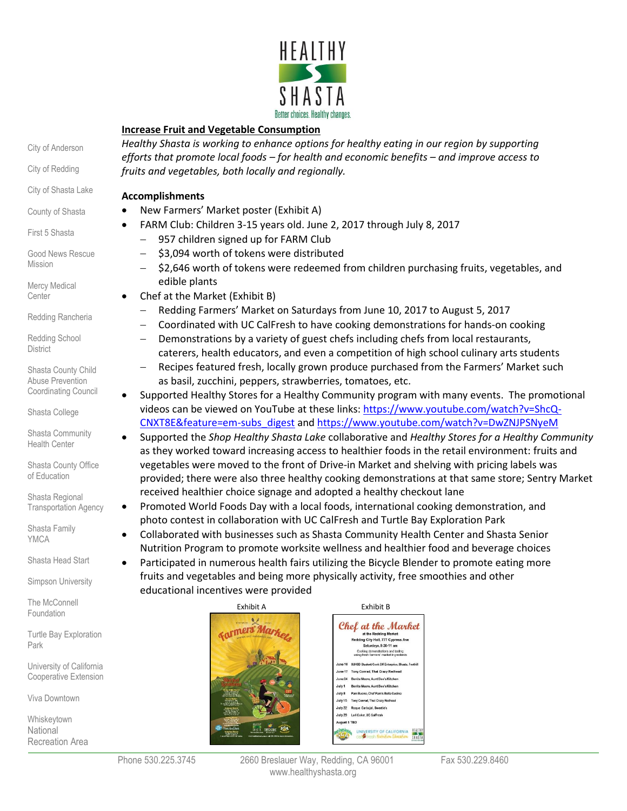

### **Increase Fruit and Vegetable Consumption**

*Healthy Shasta is working to enhance options for healthy eating in our region by supporting efforts that promote local foods – for health and economic benefits – and improve access to fruits and vegetables, both locally and regionally.*

#### **Accomplishments**

- New Farmers' Market poster (Exhibit A)
- FARM Club: Children 3-15 years old. June 2, 2017 through July 8, 2017
	- 957 children signed up for FARM Club
	- \$3,094 worth of tokens were distributed
	- \$2,646 worth of tokens were redeemed from children purchasing fruits, vegetables, and edible plants
- Chef at the Market (Exhibit B)
	- Redding Farmers' Market on Saturdays from June 10, 2017 to August 5, 2017
	- Coordinated with UC CalFresh to have cooking demonstrations for hands-on cooking
	- Demonstrations by a variety of guest chefs including chefs from local restaurants, caterers, health educators, and even a competition of high school culinary arts students
	- Recipes featured fresh, locally grown produce purchased from the Farmers' Market such as basil, zucchini, peppers, strawberries, tomatoes, etc.
- Supported Healthy Stores for a Healthy Community program with many events. The promotional videos can be viewed on YouTube at these links[: https://www.youtube.com/watch?v=ShcQ-](https://www.youtube.com/watch?v=ShcQ-CNXT8E&feature=em-subs_digest)[CNXT8E&feature=em-subs\\_digest](https://www.youtube.com/watch?v=ShcQ-CNXT8E&feature=em-subs_digest) an[d https://www.youtube.com/watch?v=DwZNJPSNyeM](https://www.youtube.com/watch?v=DwZNJPSNyeM)
- Supported the *Shop Healthy Shasta Lake* collaborative and *Healthy Stores for a Healthy Community* as they worked toward increasing access to healthier foods in the retail environment: fruits and vegetables were moved to the front of Drive-in Market and shelving with pricing labels was provided; there were also three healthy cooking demonstrations at that same store; Sentry Market received healthier choice signage and adopted a healthy checkout lane
- Promoted World Foods Day with a local foods, international cooking demonstration, and photo contest in collaboration with UC CalFresh and Turtle Bay Exploration Park
	- Collaborated with businesses such as Shasta Community Health Center and Shasta Senior Nutrition Program to promote worksite wellness and healthier food and beverage choices
	- Participated in numerous health fairs utilizing the Bicycle Blender to promote eating more fruits and vegetables and being more physically activity, free smoothies and other educational incentives were provided



Phone 530.225.3745 2660 Breslauer Way, Redding, CA 96001 Fax 530.229.8460 www.healthyshasta.org

City of Anderson

City of Redding

City of Shasta Lake

County of Shasta

First 5 Shasta

Good News Rescue Mission

Mercy Medical **Center** 

Redding Rancheria

Redding School **District** 

Shasta County Child Abuse Prevention Coordinating Council

Shasta College

Shasta Community Health Center

Shasta County Office of Education

Shasta Regional Transportation Agency

Shasta Family **YMCA** 

Shasta Head Start

Simpson University

The McConnell Foundation

Turtle Bay Exploration Park

University of California Cooperative Extension

Viva Downtown

Whiskeytown **National** Recreation Area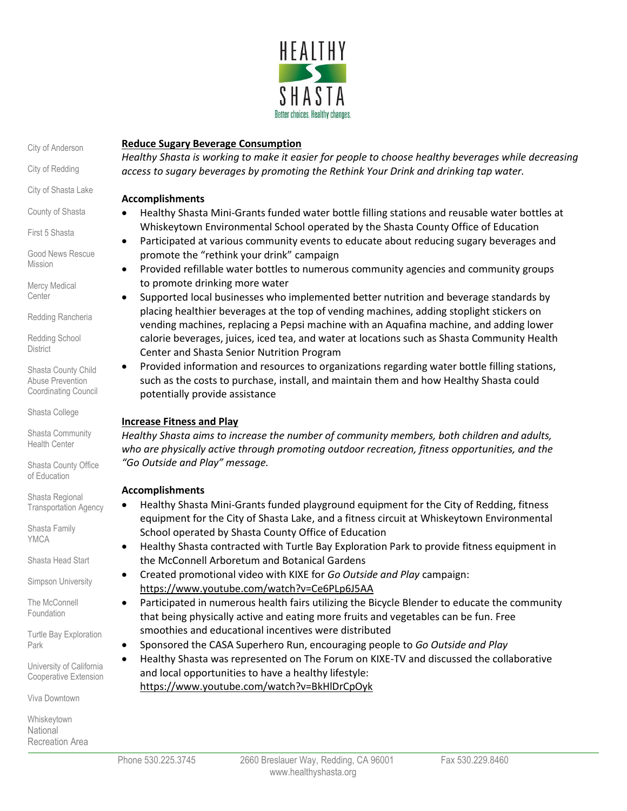

City of Anderson

City of Redding

City of Shasta Lake

County of Shasta

First 5 Shasta

Good News Rescue Mission

Mercy Medical **Center** 

Redding Rancheria

Redding School **District** 

Shasta County Child Abuse Prevention Coordinating Council

Shasta College

Shasta Community Health Center

Shasta County Office of Education

Shasta Regional Transportation Agency

Shasta Family YMCA

Shasta Head Start

Simpson University

The McConnell Foundation

Turtle Bay Exploration Park

University of California Cooperative Extension

Viva Downtown

Whiskeytown National Recreation Area

# **Reduce Sugary Beverage Consumption**

*Healthy Shasta is working to make it easier for people to choose healthy beverages while decreasing access to sugary beverages by promoting the Rethink Your Drink and drinking tap water.*

#### **Accomplishments**

- Healthy Shasta Mini-Grants funded water bottle filling stations and reusable water bottles at Whiskeytown Environmental School operated by the Shasta County Office of Education
- Participated at various community events to educate about reducing sugary beverages and promote the "rethink your drink" campaign
- Provided refillable water bottles to numerous community agencies and community groups to promote drinking more water
- Supported local businesses who implemented better nutrition and beverage standards by placing healthier beverages at the top of vending machines, adding stoplight stickers on vending machines, replacing a Pepsi machine with an Aquafina machine, and adding lower calorie beverages, juices, iced tea, and water at locations such as Shasta Community Health Center and Shasta Senior Nutrition Program
- Provided information and resources to organizations regarding water bottle filling stations, such as the costs to purchase, install, and maintain them and how Healthy Shasta could potentially provide assistance

# **Increase Fitness and Play**

*Healthy Shasta aims to increase the number of community members, both children and adults, who are physically active through promoting outdoor recreation, fitness opportunities, and the "Go Outside and Play" message.*

# **Accomplishments**

- Healthy Shasta Mini-Grants funded playground equipment for the City of Redding, fitness equipment for the City of Shasta Lake, and a fitness circuit at Whiskeytown Environmental School operated by Shasta County Office of Education
- Healthy Shasta contracted with Turtle Bay Exploration Park to provide fitness equipment in the McConnell Arboretum and Botanical Gardens
- Created promotional video with KIXE for *Go Outside and Play* campaign: <https://www.youtube.com/watch?v=Ce6PLp6J5AA>
- Participated in numerous health fairs utilizing the Bicycle Blender to educate the community that being physically active and eating more fruits and vegetables can be fun. Free smoothies and educational incentives were distributed
- Sponsored the CASA Superhero Run, encouraging people to *Go Outside and Play*
- Healthy Shasta was represented on The Forum on KIXE-TV and discussed the collaborative and local opportunities to have a healthy lifestyle: <https://www.youtube.com/watch?v=BkHlDrCpOyk>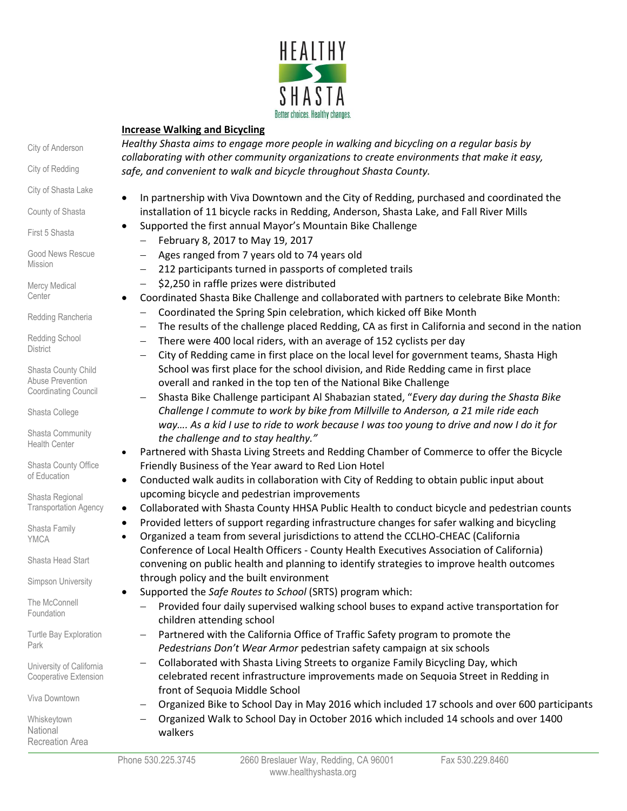

### **Increase Walking and Bicycling**

*Healthy Shasta aims to engage more people in walking and bicycling on a regular basis by collaborating with other community organizations to create environments that make it easy, safe, and convenient to walk and bicycle throughout Shasta County.*

- In partnership with Viva Downtown and the City of Redding, purchased and coordinated the installation of 11 bicycle racks in Redding, Anderson, Shasta Lake, and Fall River Mills
- Supported the first annual Mayor's Mountain Bike Challenge
	- $-$  February 8, 2017 to May 19, 2017
	- Ages ranged from 7 years old to 74 years old
	- 212 participants turned in passports of completed trails
	- $-$  \$2,250 in raffle prizes were distributed
	- Coordinated Shasta Bike Challenge and collaborated with partners to celebrate Bike Month:
		- Coordinated the Spring Spin celebration, which kicked off Bike Month
		- The results of the challenge placed Redding, CA as first in California and second in the nation
		- $-$  There were 400 local riders, with an average of 152 cyclists per day
		- City of Redding came in first place on the local level for government teams, Shasta High School was first place for the school division, and Ride Redding came in first place overall and ranked in the top ten of the National Bike Challenge
		- Shasta Bike Challenge participant Al Shabazian stated, "*Every day during the Shasta Bike Challenge I commute to work by bike from Millville to Anderson, a 21 mile ride each way…. As a kid I use to ride to work because I was too young to drive and now I do it for the challenge and to stay healthy."*
- Partnered with Shasta Living Streets and Redding Chamber of Commerce to offer the Bicycle Friendly Business of the Year award to Red Lion Hotel
- Conducted walk audits in collaboration with City of Redding to obtain public input about upcoming bicycle and pedestrian improvements
- Collaborated with Shasta County HHSA Public Health to conduct bicycle and pedestrian counts
- Provided letters of support regarding infrastructure changes for safer walking and bicycling
- Organized a team from several jurisdictions to attend the CCLHO-CHEAC (California Conference of Local Health Officers - County Health Executives Association of California) convening on public health and planning to identify strategies to improve health outcomes through policy and the built environment
- Supported the *Safe Routes to School* (SRTS) program which:
	- Provided four daily supervised walking school buses to expand active transportation for children attending school
	- Partnered with the California Office of Traffic Safety program to promote the *Pedestrians Don't Wear Armor* pedestrian safety campaign at six schools
	- Collaborated with Shasta Living Streets to organize Family Bicycling Day, which celebrated recent infrastructure improvements made on Sequoia Street in Redding in front of Sequoia Middle School
	- Organized Bike to School Day in May 2016 which included 17 schools and over 600 participants
		- Organized Walk to School Day in October 2016 which included 14 schools and over 1400 walkers

City of Anderson

City of Redding

- City of Shasta Lake
- County of Shasta

First 5 Shasta

Good News Rescue Mission

Mercy Medical **Center** 

Redding Rancheria

Redding School **District** 

Shasta County Child Abuse Prevention Coordinating Council

Shasta College

Shasta Community Health Center

Shasta County Office of Education

Shasta Regional Transportation Agency

Shasta Family YMCA

Shasta Head Start

Simpson University

The McConnell Foundation

Turtle Bay Exploration Park

University of California Cooperative Extension

Viva Downtown

Whiskeytown National

Recreation Area